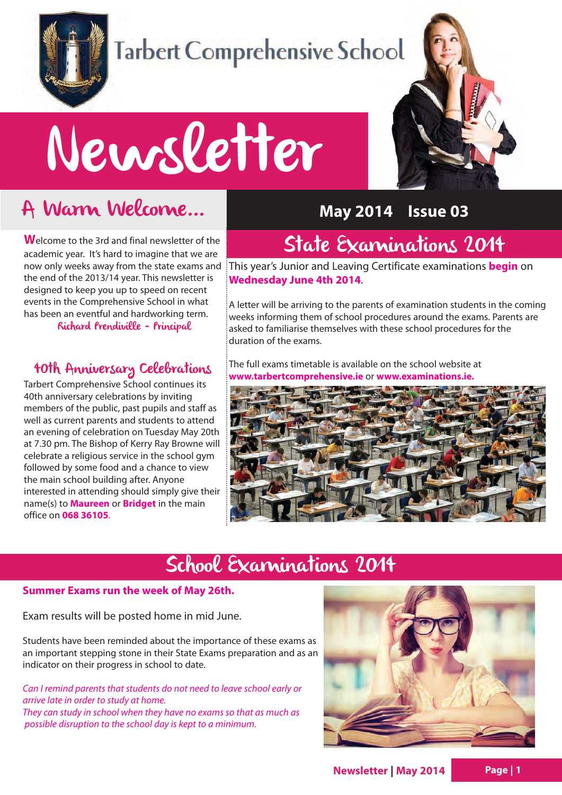

## Tarbert Comprehensive School

# Newsletter

## A Warm Welcome...

**W**elcome to the 3rd and final newsletter of the academic year. It's hard to imagine that we are the end of the 2013/14 year. This newsletter is designed to keep you up to speed on recent events in the Comprehensive School in what has been an eventful and hardworking term.

Richard Prendiville - Principal

#### 40th Anniversary Celebrations

Tarbert Comprehensive School continues its 40th anniversary celebrations by inviting members of the public, past pupils and staff as well as current parents and students to attend an evening of celebration on Tuesday May 20th at 7.30 pm. The Bishop of Kerry Ray Browne will celebrate a religious service in the school gym followed by some food and a chance to view the main school building after. Anyone interested in attending should simply give their name(s) to **Maureen** or **Bridget** in the main office on **068 36105**.

#### **May 2014 Issue 03**

## State Examinations 2014

now only weeks away from the state exams and  $\,$  This year's Junior and Leaving Certificate examinations  $\,$  begin on **Wednesday June 4th 2014**.

> A letter will be arriving to the parents of examination students in the coming weeks informing them of school procedures around the exams. Parents are asked to familiarise themselves with these school procedures for the duration of the exams.

The full exams timetable is available on the school website at **www.tarbertcomprehensive.ie** or **www.examinations.ie.** 



## School Examinations 2014

#### **Summer Exams run the week of May 26th.**

Exam results will be posted home in mid June.

Students have been reminded about the importance of these exams as an important stepping stone in their State Exams preparation and as an indicator on their progress in school to date.

Can I remind parents that students do not need to leave school early or arrive late in order to study at home. They can study in school when they have no exams so that as much as possible disruption to the school day is kept to a minimum.



**Newsletter | May 2014**

**Page | 1**

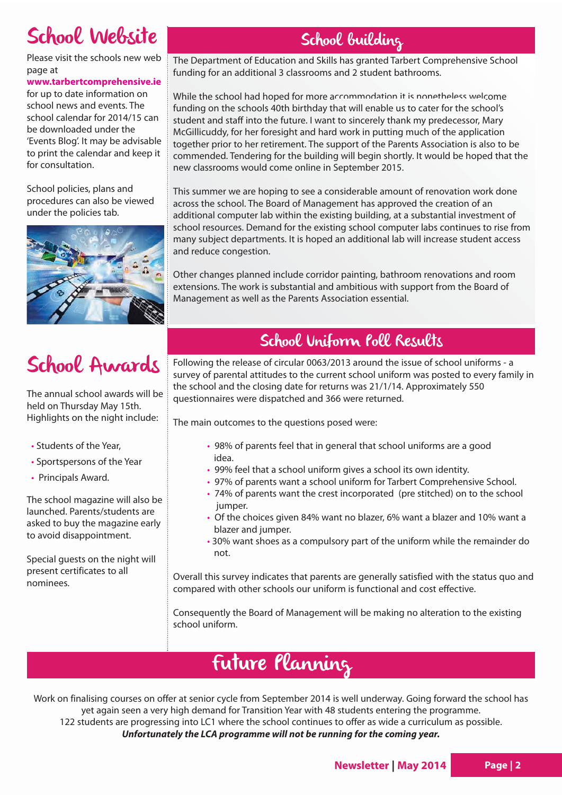## School Website

Please visit the schools new web page at

**www.tarbertcomprehensive.ie**

for up to date information on school news and events. The school calendar for 2014/15 can be downloaded under the 'Events Blog'. It may be advisable to print the calendar and keep it for consultation.

School policies, plans and procedures can also be viewed under the policies tab.



## School Awards

The annual school awards will be held on Thursday May 15th. Highlights on the night include:

- Students of the Year,
- Sportspersons of the Year
- Principals Award.

The school magazine will also be launched. Parents/students are asked to buy the magazine early to avoid disappointment.

Special guests on the night will present certificates to all nominees.

### School building

The Department of Education and Skills has granted Tarbert Comprehensive School funding for an additional 3 classrooms and 2 student bathrooms.

While the school had hoped for more accommodation it is nonetheless welcome funding on the schools 40th birthday that will enable us to cater for the school's student and staff into the future. I want to sincerely thank my predecessor, Mary McGillicuddy, for her foresight and hard work in putting much of the application together prior to her retirement. The support of the Parents Association is also to be commended. Tendering for the building will begin shortly. It would be hoped that the new classrooms would come online in September 2015.

This summer we are hoping to see a considerable amount of renovation work done across the school. The Board of Management has approved the creation of an additional computer lab within the existing building, at a substantial investment of school resources. Demand for the existing school computer labs continues to rise from many subject departments. It is hoped an additional lab will increase student access and reduce congestion.

Other changes planned include corridor painting, bathroom renovations and room extensions. The work is substantial and ambitious with support from the Board of Management as well as the Parents Association essential.

#### School Uniform Poll Results

Following the release of circular 0063/2013 around the issue of school uniforms - a survey of parental attitudes to the current school uniform was posted to every family in the school and the closing date for returns was 21/1/14. Approximately 550 questionnaires were dispatched and 366 were returned.

The main outcomes to the questions posed were:

- 98% of parents feel that in general that school uniforms are a good idea.
- 99% feel that a school uniform gives a school its own identity.
- 97% of parents want a school uniform for Tarbert Comprehensive School.
- 74% of parents want the crest incorporated (pre stitched) on to the school jumper.
- Of the choices given 84% want no blazer, 6% want a blazer and 10% want a blazer and jumper.
- 30% want shoes as a compulsory part of the uniform while the remainder do not.

Overall this survey indicates that parents are generally satisfied with the status quo and compared with other schools our uniform is functional and cost effective.

Consequently the Board of Management will be making no alteration to the existing school uniform.

## Future Planning

Work on finalising courses on offer at senior cycle from September 2014 is well underway. Going forward the school has yet again seen a very high demand for Transition Year with 48 students entering the programme. 122 students are progressing into LC1 where the school continues to offer as wide a curriculum as possible. **Unfortunately the LCA programme will not be running for the coming year.**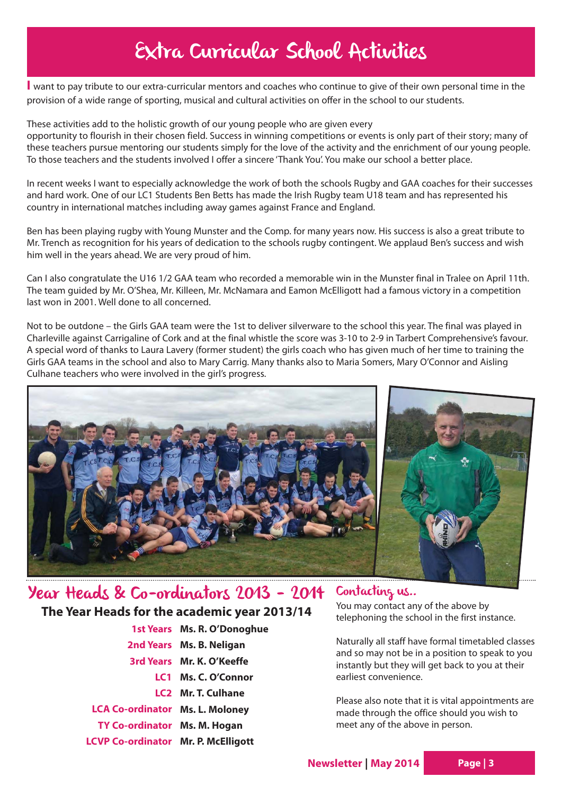## Extra Curricular School Activities

**I** want to pay tribute to our extra-curricular mentors and coaches who continue to give of their own personal time in the provision of a wide range of sporting, musical and cultural activities on offer in the school to our students.

These activities add to the holistic growth of our young people who are given every opportunity to flourish in their chosen field. Success in winning competitions or events is only part of their story; many of these teachers pursue mentoring our students simply for the love of the activity and the enrichment of our young people. To those teachers and the students involved I offer a sincere 'Thank You'. You make our school a better place.

In recent weeks I want to especially acknowledge the work of both the schools Rugby and GAA coaches for their successes and hard work. One of our LC1 Students Ben Betts has made the Irish Rugby team U18 team and has represented his country in international matches including away games against France and England.

Ben has been playing rugby with Young Munster and the Comp. for many years now. His success is also a great tribute to Mr. Trench as recognition for his years of dedication to the schools rugby contingent. We applaud Ben's success and wish him well in the years ahead. We are very proud of him.

Can I also congratulate the U16 1/2 GAA team who recorded a memorable win in the Munster final in Tralee on April 11th. The team guided by Mr. O'Shea, Mr. Killeen, Mr. McNamara and Eamon McElligott had a famous victory in a competition last won in 2001. Well done to all concerned.

Not to be outdone – the Girls GAA team were the 1st to deliver silverware to the school this year. The final was played in Charleville against Carrigaline of Cork and at the final whistle the score was 3-10 to 2-9 in Tarbert Comprehensive's favour. A special word of thanks to Laura Lavery (former student) the girls coach who has given much of her time to training the Girls GAA teams in the school and also to Mary Carrig. Many thanks also to Maria Somers, Mary O'Connor and Aisling Culhane teachers who were involved in the girl's progress.



#### Year Heads & Co-ordinators 2013 - 2014 Contacting us.. **The Year Heads for the academic year 2013/14**

|                                        | 1st Years Ms. R. O'Donoghue |
|----------------------------------------|-----------------------------|
|                                        | 2nd Years Ms. B. Neligan    |
|                                        | 3rd Years Mr. K. O'Keeffe   |
|                                        | LC1 Ms. C. O'Connor         |
|                                        | LC2 Mr. T. Culhane          |
| <b>LCA Co-ordinator Ms. L. Moloney</b> |                             |
| TY Co-ordinator Ms. M. Hogan           |                             |
| LCVP Co-ordinator Mr. P. McElligott    |                             |

You may contact any of the above by telephoning the school in the first instance.

Naturally all staff have formal timetabled classes and so may not be in a position to speak to you instantly but they will get back to you at their earliest convenience.

Please also note that it is vital appointments are made through the office should you wish to meet any of the above in person.